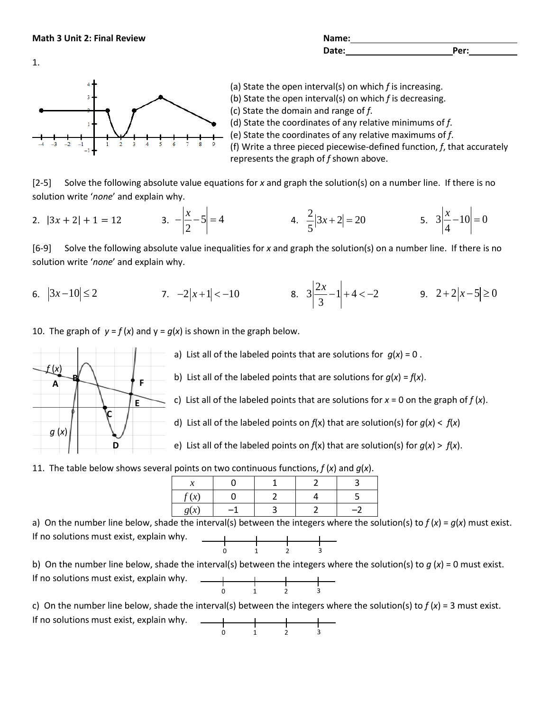**Math 3 Unit 2: Final Review <b>Name:** Name: Name: Name: Name: Name: Name: Name: Name: Name: Name: Name: Name: Name: Name: Name: Name: Name: Name: Name: Name: Name: Name: Name: Name: Name: Name: Name: Name: Name: Name: Name:

| Name: |      |
|-------|------|
| Date: | Per: |
|       |      |



(a) State the open interval(s) on which *f* is increasing. (b) State the open interval(s) on which *f* is decreasing. (c) State the domain and range of *f*. (d) State the coordinates of any relative minimums of *f*. (e) State the coordinates of any relative maximums of *f*. (f) Write a three pieced piecewise-defined function, *f*, that accurately represents the graph of *f* shown above.

[2-5] Solve the following absolute value equations for *x* and graph the solution(s) on a number line. If there is no solution write '*none*' and explain why.

2. 
$$
|3x + 2| + 1 = 12
$$
 3.  $-\left|\frac{x}{2} - 5\right| = 4$  4.  $\frac{2}{5}|3x + 2| = 20$  5.  $3\left|\frac{x}{4} - 10\right| = 0$ 

[6-9] Solve the following absolute value inequalities for *x* and graph the solution(s) on a number line. If there is no solution write '*none*' and explain why.

6. 
$$
|3x-10| \le 2
$$
 7.  $-2|x+1| < -10$  8.  $3\left|\frac{2x}{3} - 1\right| + 4 < -2$  9.  $2+2|x-5| \ge 0$ 

10. The graph of  $y = f(x)$  and  $y = g(x)$  is shown in the graph below.



a) List all of the labeled points that are solutions for  $g(x) = 0$ .

b) List all of the labeled points that are solutions for  $q(x) = f(x)$ .

c) List all of the labeled points that are solutions for  $x = 0$  on the graph of  $f(x)$ .

d) List all of the labeled points on  $f(x)$  that are solution(s) for  $g(x) < f(x)$ 

e) List all of the labeled points on *f*(x) that are solution(s) for *g*(*x*) > *f*(*x*).

11. The table below shows several points on two continuous functions,  $f(x)$  and  $g(x)$ .

| ж.           |  |  |
|--------------|--|--|
| $\mathbf{v}$ |  |  |
| <u>v</u>     |  |  |
|              |  |  |

a) On the number line below, shade the interval(s) between the integers where the solution(s) to *f* (*x*) = *g*(*x*) must exist. If no solutions must exist, explain why.  $\begin{array}{c|cccc}\n\hline\n0 & 1 & 2 & 3\n\end{array}$ 

b) On the number line below, shade the interval(s) between the integers where the solution(s) to *g* (*x*) = 0 must exist. If no solutions must exist, explain why.  $\begin{array}{|c|c|c|c|c|}\n\hline\n0 & 1 & 2 & 3 \\
\hline\n\end{array}$ 

c) On the number line below, shade the interval(s) between the integers where the solution(s) to *f* (*x*) = 3 must exist.

0 1 2 3

If no solutions must exist, explain why.

1.